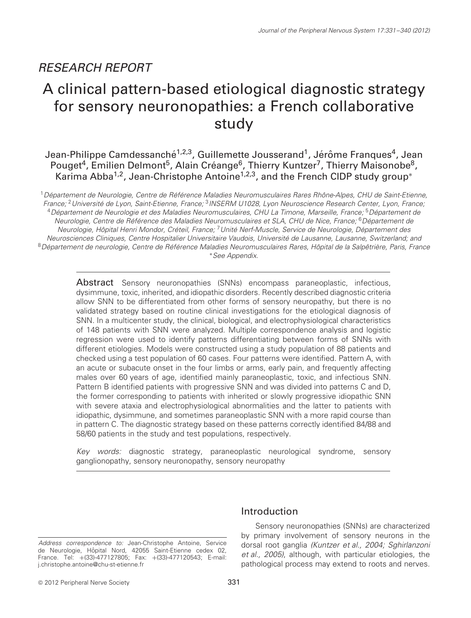# RESEARCH REPORT

# A clinical pattern-based etiological diagnostic strategy for sensory neuronopathies: a French collaborative study

Jean-Philippe Camdessanché<sup>1,2,3</sup>, Guillemette Jousserand<sup>1</sup>, Jérôme Franques<sup>4</sup>, Jean Pouget<sup>4</sup>, Emilien Delmont<sup>5</sup>, Alain Créange<sup>6</sup>, Thierry Kuntzer<sup>7</sup>, Thierry Maisonobe<sup>8</sup>, Karima Abba<sup>1,2</sup>, Jean-Christophe Antoine<sup>1,2,3</sup>, and the French CIDP study group<sup>∗</sup>

 $^1$ Département de Neurologie, Centre de Référence Maladies Neuromusculaires Rares Rhône-Alpes, CHU de Saint-Etienne, France: <sup>2</sup> Université de Lyon, Saint-Etienne, France: <sup>3</sup>INSERM U1028, Lyon Neuroscience Research Center, Lyon, France: <sup>4</sup>Département de Neurologie et des Maladies Neuromusculaires, CHU La Timone, Marseille, France; <sup>5</sup>Département de Neurologie, Centre de Référence des Maladies Neuromusculaires et SLA, CHU de Nice, France; <sup>6</sup>Département de Neurologie, Hôpital Henri Mondor, Créteil, France; <sup>7</sup> Unité Nerf-Muscle, Service de Neurologie, Département des Neurosciences Cliniques, Centre Hospitalier Universitaire Vaudois, Universite de Lausanne, Lausanne, Switzerland; and ´ 8 Département de neurologie, Centre de Référence Maladies Neuromusculaires Rares, Hôpital de la Salpêtrière, Paris, France ∗See Appendix.

Abstract Sensory neuronopathies (SNNs) encompass paraneoplastic, infectious, dysimmune, toxic, inherited, and idiopathic disorders. Recently described diagnostic criteria allow SNN to be differentiated from other forms of sensory neuropathy, but there is no validated strategy based on routine clinical investigations for the etiological diagnosis of SNN. In a multicenter study, the clinical, biological, and electrophysiological characteristics of 148 patients with SNN were analyzed. Multiple correspondence analysis and logistic regression were used to identify patterns differentiating between forms of SNNs with different etiologies. Models were constructed using a study population of 88 patients and checked using a test population of 60 cases. Four patterns were identified. Pattern A, with an acute or subacute onset in the four limbs or arms, early pain, and frequently affecting males over 60 years of age, identified mainly paraneoplastic, toxic, and infectious SNN. Pattern B identified patients with progressive SNN and was divided into patterns C and D, the former corresponding to patients with inherited or slowly progressive idiopathic SNN with severe ataxia and electrophysiological abnormalities and the latter to patients with idiopathic, dysimmune, and sometimes paraneoplastic SNN with a more rapid course than in pattern C. The diagnostic strategy based on these patterns correctly identified 84/88 and 58/60 patients in the study and test populations, respectively.

Key words: diagnostic strategy, paraneoplastic neurological syndrome, sensory ganglionopathy, sensory neuronopathy, sensory neuropathy

Address correspondence to: Jean-Christophe Antoine, Service de Neurologie, Hôpital Nord, 42055 Saint-Etienne cedex 02, France. Tel: +(33)-477127805; Fax: +(33)-477120543; E-mail: j.christophe.antoine@chu-st-etienne.fr

### Introduction

Sensory neuronopathies (SNNs) are characterized by primary involvement of sensory neurons in the dorsal root ganglia (Kuntzer et al., 2004; Sghirlanzoni et al., 2005), although, with particular etiologies, the pathological process may extend to roots and nerves.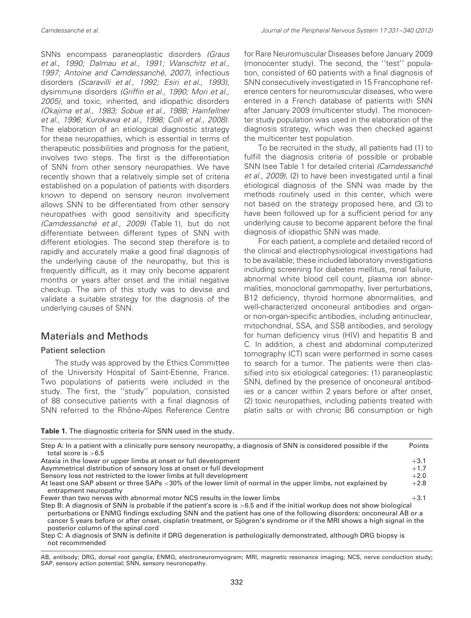SNNs encompass paraneoplastic disorders (Graus et al., 1990; Dalmau et al., 1991; Wanschitz et al., 1997; Antoine and Camdessanché, 2007), infectious disorders (Scaravilli et al., 1992; Esiri et al., 1993), dysimmune disorders (Griffin et al., 1990; Mori et al., 2005), and toxic, inherited, and idiopathic disorders (Okajima et al., 1983; Sobue et al., 1988; Hainfellner et al., 1996; Kurokawa et al., 1998; Colli et al., 2008). The elaboration of an etiological diagnostic strategy for these neuropathies, which is essential in terms of therapeutic possibilities and prognosis for the patient, involves two steps. The first is the differentiation of SNN from other sensory neuropathies. We have recently shown that a relatively simple set of criteria established on a population of patients with disorders known to depend on sensory neuron involvement allows SNN to be differentiated from other sensory neuropathies with good sensitivity and specificity (Camdessanché et al., 2009) (Table 1), but do not differentiate between different types of SNN with different etiologies. The second step therefore is to rapidly and accurately make a good final diagnosis of the underlying cause of the neuropathy, but this is frequently difficult, as it may only become apparent months or years after onset and the initial negative checkup. The aim of this study was to devise and validate a suitable strategy for the diagnosis of the underlying causes of SNN.

### Materials and Methods

### Patient selection

The study was approved by the Ethics Committee of the University Hospital of Saint-Etienne, France. Two populations of patients were included in the study. The first, the ''study'' population, consisted of 88 consecutive patients with a final diagnosis of SNN referred to the Rhône-Alpes Reference Centre for Rare Neuromuscular Diseases before January 2009 (monocenter study). The second, the ''test'' population, consisted of 60 patients with a final diagnosis of SNN consecutively investigated in 15 Francophone reference centers for neuromuscular diseases, who were entered in a French database of patients with SNN after January 2009 (multicenter study). The monocenter study population was used in the elaboration of the diagnosis strategy, which was then checked against the multicenter test population.

To be recruited in the study, all patients had (1) to fulfill the diagnosis criteria of possible or probable SNN (see Table 1 for detailed criteria) (Camdessanché et al., 2009), (2) to have been investigated until a final etiological diagnosis of the SNN was made by the methods routinely used in this center, which were not based on the strategy proposed here, and (3) to have been followed up for a sufficient period for any underlying cause to become apparent before the final diagnosis of idiopathic SNN was made.

For each patient, a complete and detailed record of the clinical and electrophysiological investigations had to be available; these included laboratory investigations including screening for diabetes mellitus, renal failure, abnormal white blood cell count, plasma ion abnormalities, monoclonal gammopathy, liver perturbations, B12 deficiency, thyroid hormone abnormalities, and well-characterized onconeural antibodies and organor non-organ-specific antibodies, including antinuclear, mitochondrial, SSA, and SSB antibodies, and serology for human deficiency virus (HIV) and hepatitis B and C. In addition, a chest and abdominal computerized tomography (CT) scan were performed in some cases to search for a tumor. The patients were then classified into six etiological categories: (1) paraneoplastic SNN, defined by the presence of onconeural antibodies or a cancer within 2 years before or after onset, (2) toxic neuropathies, including patients treated with platin salts or with chronic B6 consumption or high

#### **Table 1.** The diagnostic criteria for SNN used in the study.

| Step A: In a patient with a clinically pure sensory neuropathy, a diagnosis of SNN is considered possible if the<br>total score is $>6.5$                                                                                                                                                                                                                                                                           | Points |
|---------------------------------------------------------------------------------------------------------------------------------------------------------------------------------------------------------------------------------------------------------------------------------------------------------------------------------------------------------------------------------------------------------------------|--------|
| Ataxia in the lower or upper limbs at onset or full development                                                                                                                                                                                                                                                                                                                                                     | $+3.1$ |
| Asymmetrical distribution of sensory loss at onset or full development                                                                                                                                                                                                                                                                                                                                              | $+1.7$ |
| Sensory loss not restricted to the lower limbs at full development                                                                                                                                                                                                                                                                                                                                                  | $+2.0$ |
| At least one SAP absent or three SAPs <30% of the lower limit of normal in the upper limbs, not explained by<br>entrapment neuropathy                                                                                                                                                                                                                                                                               | $+2.8$ |
| Fewer than two nerves with abnormal motor NCS results in the lower limbs                                                                                                                                                                                                                                                                                                                                            | $+3.1$ |
| Step B: A diagnosis of SNN is probable if the patient's score is >6.5 and if the initial workup does not show biological<br>perturbations or ENMG findings excluding SNN and the patient has one of the following disorders: onconeural AB or a<br>cancer 5 years before or after onset, cisplatin treatment, or Sjögren's syndrome or if the MRI shows a high signal in the<br>posterior column of the spinal cord |        |
| Step C: A diagnosis of SNN is definite if DRG degeneration is pathologically demonstrated, although DRG biopsy is                                                                                                                                                                                                                                                                                                   |        |

not recommended

AB, antibody; DRG, dorsal root ganglia; ENMG, electroneuromyogram; MRI, magnetic resonance imaging; NCS, nerve conduction study; SAP, sensory action potential; SNN, sensory neuronopathy.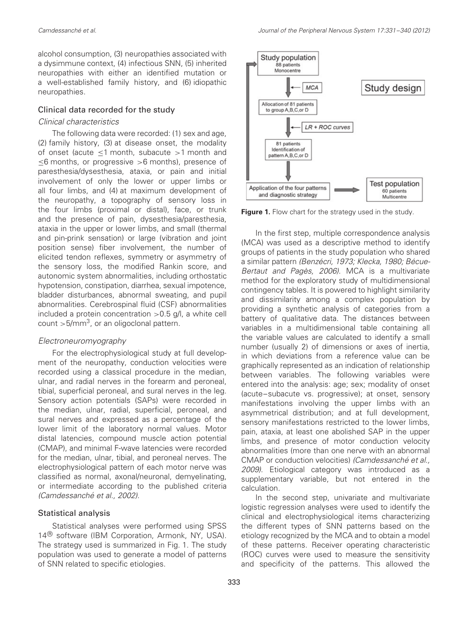alcohol consumption, (3) neuropathies associated with a dysimmune context, (4) infectious SNN, (5) inherited neuropathies with either an identified mutation or a well-established family history, and (6) idiopathic neuropathies.

### Clinical data recorded for the study

#### Clinical characteristics

The following data were recorded: (1) sex and age, (2) family history, (3) at disease onset, the modality of onset (acute ≤1 month, subacute *>*1 month and ≤6 months, or progressive *>*6 months), presence of paresthesia/dysesthesia, ataxia, or pain and initial involvement of only the lower or upper limbs or all four limbs, and (4) at maximum development of the neuropathy, a topography of sensory loss in the four limbs (proximal or distal), face, or trunk and the presence of pain, dysesthesia/paresthesia, ataxia in the upper or lower limbs, and small (thermal and pin-prink sensation) or large (vibration and joint position sense) fiber involvement, the number of elicited tendon reflexes, symmetry or asymmetry of the sensory loss, the modified Rankin score, and autonomic system abnormalities, including orthostatic hypotension, constipation, diarrhea, sexual impotence, bladder disturbances, abnormal sweating, and pupil abnormalities. Cerebrospinal fluid (CSF) abnormalities included a protein concentration *>*0.5 g/l, a white cell count *>*5/mm3, or an oligoclonal pattern.

#### Electroneuromyography

For the electrophysiological study at full development of the neuropathy, conduction velocities were recorded using a classical procedure in the median, ulnar, and radial nerves in the forearm and peroneal, tibial, superficial peroneal, and sural nerves in the leg. Sensory action potentials (SAPs) were recorded in the median, ulnar, radial, superficial, peroneal, and sural nerves and expressed as a percentage of the lower limit of the laboratory normal values. Motor distal latencies, compound muscle action potential (CMAP), and minimal F-wave latencies were recorded for the median, ulnar, tibial, and peroneal nerves. The electrophysiological pattern of each motor nerve was classified as normal, axonal/neuronal, demyelinating, or intermediate according to the published criteria (Camdessanché et al., 2002).

#### Statistical analysis

Statistical analyses were performed using SPSS 14<sup>®</sup> software (IBM Corporation, Armonk, NY, USA). The strategy used is summarized in Fig. 1. The study population was used to generate a model of patterns of SNN related to specific etiologies.



**Figure 1.** Flow chart for the strategy used in the study.

In the first step, multiple correspondence analysis (MCA) was used as a descriptive method to identify groups of patients in the study population who shared a similar pattern (Benzécri, 1973; Klecka, 1980; Bécue-Bertaut and Pagès, 2006). MCA is a multivariate method for the exploratory study of multidimensional contingency tables. It is powered to highlight similarity and dissimilarity among a complex population by providing a synthetic analysis of categories from a battery of qualitative data. The distances between variables in a multidimensional table containing all the variable values are calculated to identify a small number (usually 2) of dimensions or axes of inertia, in which deviations from a reference value can be graphically represented as an indication of relationship between variables. The following variables were entered into the analysis: age; sex; modality of onset (acute–subacute vs. progressive); at onset, sensory manifestations involving the upper limbs with an asymmetrical distribution; and at full development, sensory manifestations restricted to the lower limbs, pain, ataxia, at least one abolished SAP in the upper limbs, and presence of motor conduction velocity abnormalities (more than one nerve with an abnormal CMAP or conduction velocities) (Camdessanché et al., 2009). Etiological category was introduced as a supplementary variable, but not entered in the calculation.

In the second step, univariate and multivariate logistic regression analyses were used to identify the clinical and electrophysiological items characterizing the different types of SNN patterns based on the etiology recognized by the MCA and to obtain a model of these patterns. Receiver operating characteristic (ROC) curves were used to measure the sensitivity and specificity of the patterns. This allowed the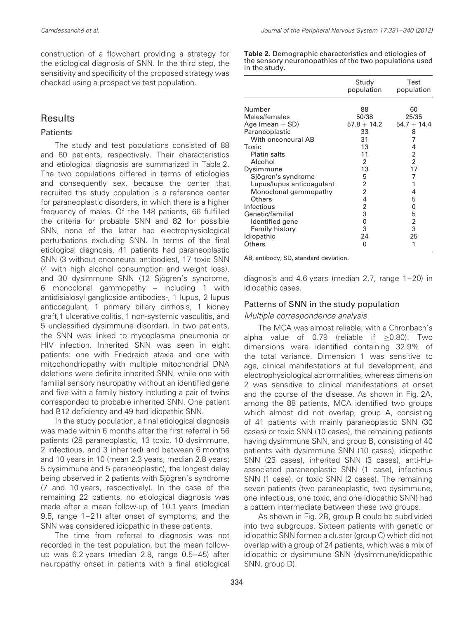construction of a flowchart providing a strategy for the etiological diagnosis of SNN. In the third step, the sensitivity and specificity of the proposed strategy was checked using a prospective test population.

### Results

### **Patients**

The study and test populations consisted of 88 and 60 patients, respectively. Their characteristics and etiological diagnosis are summarized in Table 2. The two populations differed in terms of etiologies and consequently sex, because the center that recruited the study population is a reference center for paraneoplastic disorders, in which there is a higher frequency of males. Of the 148 patients, 66 fulfilled the criteria for probable SNN and 82 for possible SNN, none of the latter had electrophysiological perturbations excluding SNN. In terms of the final etiological diagnosis, 41 patients had paraneoplastic SNN (3 without onconeural antibodies), 17 toxic SNN (4 with high alcohol consumption and weight loss), and 30 dysimmune SNN (12 Sjögren's syndrome, 6 monoclonal gammopathy – including 1 with antidisialosyl ganglioside antibodies-, 1 lupus, 2 lupus anticoagulant, 1 primary biliary cirrhosis, 1 kidney graft,1 ulcerative colitis, 1 non-systemic vasculitis, and 5 unclassified dysimmune disorder). In two patients, the SNN was linked to mycoplasma pneumonia or HIV infection. Inherited SNN was seen in eight patients: one with Friedreich ataxia and one with mitochondriopathy with multiple mitochondrial DNA deletions were definite inherited SNN, while one with familial sensory neuropathy without an identified gene and five with a family history including a pair of twins corresponded to probable inherited SNN. One patient had B12 deficiency and 49 had idiopathic SNN.

In the study population, a final etiological diagnosis was made within 6 months after the first referral in 56 patients (28 paraneoplastic, 13 toxic, 10 dysimmune, 2 infectious, and 3 inherited) and between 6 months and 10 years in 10 (mean 2.3 years, median 2.8 years; 5 dysimmune and 5 paraneoplastic), the longest delay being observed in 2 patients with Sjögren's syndrome (7 and 10 years, respectively). In the case of the remaining 22 patients, no etiological diagnosis was made after a mean follow-up of 10.1 years (median 9.5, range 1–21) after onset of symptoms, and the SNN was considered idiopathic in these patients.

The time from referral to diagnosis was not recorded in the test population, but the mean followup was 6.2 years (median 2.8, range 0.5–45) after neuropathy onset in patients with a final etiological **Table 2.** Demographic characteristics and etiologies of the sensory neuronopathies of the two populations used in the study.

|                                                                                                                                                                                                                                                                                                                                | Study<br>population                                                                                           | Test<br>population                                                                                                     |
|--------------------------------------------------------------------------------------------------------------------------------------------------------------------------------------------------------------------------------------------------------------------------------------------------------------------------------|---------------------------------------------------------------------------------------------------------------|------------------------------------------------------------------------------------------------------------------------|
| Number<br>Males/females<br>Age (mean $+$ SD)<br>Paraneoplastic<br>With onconeural AB<br>Toxic<br><b>Platin salts</b><br>Alcohol<br>Dysimmune<br>Sjögren's syndrome<br>Lupus/lupus anticoagulant<br>Monoclonal gammopathy<br>Others<br>Infectious<br>Genetic/familial<br>Identified gene<br><b>Family history</b><br>Idiopathic | 88<br>50/38<br>$57.8 + 14.2$<br>33<br>31<br>13<br>11<br>2<br>13<br>5<br>2<br>2<br>4<br>2<br>3<br>0<br>3<br>24 | 60<br>25/35<br>$54.7 + 14.4$<br>8<br>7<br>4<br>2<br>2<br>17<br>7<br>1<br>4<br>5<br>0<br>5<br>$\overline{2}$<br>3<br>25 |
| Others                                                                                                                                                                                                                                                                                                                         | 0                                                                                                             | 1                                                                                                                      |

AB, antibody; SD, standard deviation.

diagnosis and 4.6 years (median 2.7, range 1–20) in idiopathic cases.

### Patterns of SNN in the study population

### Multiple correspondence analysis

The MCA was almost reliable, with a Chronbach's alpha value of 0.79 (reliable if ≥0.80). Two dimensions were identified containing 32.9% of the total variance. Dimension 1 was sensitive to age, clinical manifestations at full development, and electrophysiological abnormalities, whereas dimension 2 was sensitive to clinical manifestations at onset and the course of the disease. As shown in Fig. 2A, among the 88 patients, MCA identified two groups which almost did not overlap, group A, consisting of 41 patients with mainly paraneoplastic SNN (30 cases) or toxic SNN (10 cases), the remaining patients having dysimmune SNN, and group B, consisting of 40 patients with dysimmune SNN (10 cases), idiopathic SNN (23 cases), inherited SNN (3 cases), anti-Huassociated paraneoplastic SNN (1 case), infectious SNN (1 case), or toxic SNN (2 cases). The remaining seven patients (two paraneoplastic, two dysimmune, one infectious, one toxic, and one idiopathic SNN) had a pattern intermediate between these two groups.

As shown in Fig. 2B, group B could be subdivided into two subgroups. Sixteen patients with genetic or idiopathic SNN formed a cluster (group C) which did not overlap with a group of 24 patients, which was a mix of idiopathic or dysimmune SNN (dysimmune/idiopathic SNN, group D).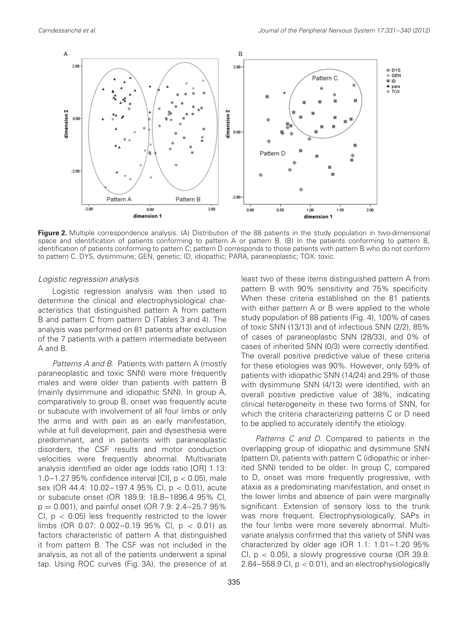

**Figure 2.** Multiple correspondence analysis. (A) Distribution of the 88 patients in the study population in two-dimensional space and identification of patients conforming to pattern A or pattern B. (B) In the patients conforming to pattern B, identification of patients conforming to pattern C; pattern D corresponds to those patients with pattern B who do not conform to pattern C. DYS, dysimmune; GEN, genetic; ID, idiopathic; PARA, paraneoplastic; TOX: toxic.

#### Logistic regression analysis

Logistic regression analysis was then used to determine the clinical and electrophysiological characteristics that distinguished pattern A from pattern B and pattern C from pattern D (Tables 3 and 4). The analysis was performed on 81 patients after exclusion of the 7 patients with a pattern intermediate between A and B.

Patterns A and B. Patients with pattern A (mostly paraneoplastic and toxic SNN) were more frequently males and were older than patients with pattern B (mainly dysimmune and idiopathic SNN). In group A, comparatively to group B, onset was frequently acute or subacute with involvement of all four limbs or only the arms and with pain as an early manifestation, while at full development, pain and dysesthesia were predominant, and in patients with paraneoplastic disorders, the CSF results and motor conduction velocities were frequently abnormal. Multivariate analysis identified an older age (odds ratio [OR] 1.13: 1.0–1.27 95% confidence interval [CI], p *<* 0.05), male sex (OR 44.4: 10.02–197.4 95% CI, p *<* 0.01), acute or subacute onset (OR 189.9: 18.8–1896.4 95% CI,  $p = 0.001$ , and painful onset (OR 7.9: 2.4–25.7 95%) CI, p *<* 0.05) less frequently restricted to the lower limbs (OR 0.07: 0.002–0.19 95% CI, p *<* 0.01) as factors characteristic of pattern A that distinguished it from pattern B. The CSF was not included in the analysis, as not all of the patients underwent a spinal tap. Using ROC curves (Fig. 3A), the presence of at least two of these items distinguished pattern A from pattern B with 90% sensitivity and 75% specificity. When these criteria established on the 81 patients with either pattern A or B were applied to the whole study population of 88 patients (Fig. 4), 100% of cases of toxic SNN (13/13) and of infectious SNN (2/2), 85% of cases of paraneoplastic SNN (28/33), and 0% of cases of inherited SNN (0/3) were correctly identified. The overall positive predictive value of these criteria for these etiologies was 90%. However, only 59% of patients with idiopathic SNN (14/24) and 29% of those with dysimmune SNN (4/13) were identified, with an overall positive predictive value of 38%, indicating clinical heterogeneity in these two forms of SNN, for which the criteria characterizing patterns C or D need to be applied to accurately identify the etiology.

Patterns C and D. Compared to patients in the overlapping group of idiopathic and dysimmune SNN (pattern D), patients with pattern C (idiopathic or inherited SNN) tended to be older. In group C, compared to D, onset was more frequently progressive, with ataxia as a predominating manifestation, and onset in the lower limbs and absence of pain were marginally significant. Extension of sensory loss to the trunk was more frequent. Electrophysiologically, SAPs in the four limbs were more severely abnormal. Multivariate analysis confirmed that this variety of SNN was characterized by older age (OR 1.1: 1.01–1.20 95% CI, p *<* 0.05), a slowly progressive course (OR 39.8: 2.84–558.9 CI, p *<* 0.01), and an electrophysiologically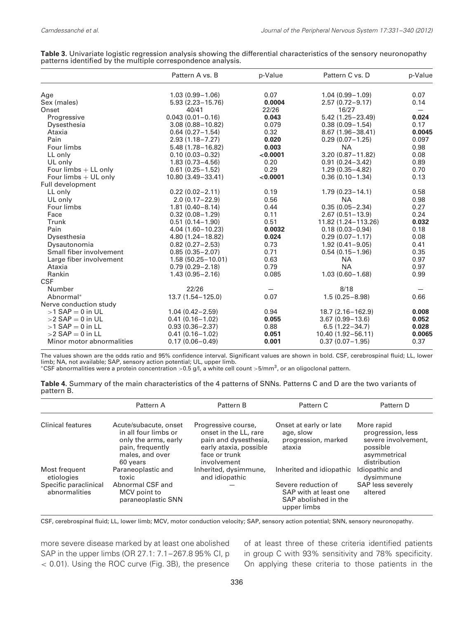|                           | Pattern A vs. B       | p-Value  | Pattern C vs. D      | p-Value                  |
|---------------------------|-----------------------|----------|----------------------|--------------------------|
| Age                       | $1.03(0.99 - 1.06)$   | 0.07     | $1.04(0.99 - 1.09)$  | 0.07                     |
| Sex (males)               | $5.93(2.23 - 15.76)$  | 0.0004   | $2.57(0.72 - 9.17)$  | 0.14                     |
| Onset                     | 40/41                 | 22/26    | 16/27                | $\overline{\phantom{0}}$ |
| Progressive               | $0.043(0.01 - 0.16)$  | 0.043    | $5.42(1.25 - 23.49)$ | 0.024                    |
| Dysesthesia               | $3.08(0.88 - 10.82)$  | 0.079    | $0.38(0.09 - 1.54)$  | 0.17                     |
| Ataxia                    | $0.64(0.27 - 1.54)$   | 0.32     | $8.67(1.96 - 38.41)$ | 0.0045                   |
| Pain                      | $2.93(1.18 - 7.27)$   | 0.020    | $0.29(0.07 - 1.25)$  | 0.097                    |
| Four limbs                | $5.48(1.78 - 16.82)$  | 0.003    | <b>NA</b>            | 0.98                     |
| LL only                   | $0.10(0.03 - 0.32)$   | < 0.0001 | $3.20(0.87 - 11.82)$ | 0.08                     |
| UL only                   | $1.83(0.73 - 4.56)$   | 0.20     | $0.91(0.24 - 3.42)$  | 0.89                     |
| Four limbs $+$ LL only    | $0.61(0.25 - 1.52)$   | 0.29     | $1.29(0.35 - 4.82)$  | 0.70                     |
| Four limbs $+$ UL only    | 10.80 (3.49 - 33.41)  | < 0.0001 | $0.36(0.10-1.34)$    | 0.13                     |
| Full development          |                       |          |                      |                          |
| LL only                   | $0.22(0.02 - 2.11)$   | 0.19     | $1.79(0.23 - 14.1)$  | 0.58                     |
| UL only                   | $2.0(0.17 - 22.9)$    | 0.56     | <b>NA</b>            | 0.98                     |
| Four limbs                | $1.81(0.40 - 8.14)$   | 0.44     | $0.35(0.05 - 2.34)$  | 0.27                     |
| Face                      | $0.32(0.08 - 1.29)$   | 0.11     | $2.67(0.51 - 13.9)$  | 0.24                     |
| Trunk                     | $0.51(0.14 - 1.90)$   | 0.51     | 11.82 (1.24-113.26)  | 0.032                    |
| Pain                      | $4.04(1.60 - 10.23)$  | 0.0032   | $0.18(0.03 - 0.94)$  | 0.18                     |
| Dysesthesia               | $4.80(1.24 - 18.82)$  | 0.024    | $0.29(0.07 - 1.17)$  | 0.08                     |
| Dysautonomia              | $0.82(0.27 - 2.53)$   | 0.73     | $1.92(0.41 - 9.05)$  | 0.41                     |
| Small fiber involvement   | $0.85(0.35 - 2.07)$   | 0.71     | $0.54(0.15 - 1.96)$  | 0.35                     |
| Large fiber involvement   | $1.58(50.25 - 10.01)$ | 0.63     | <b>NA</b>            | 0.97                     |
| Ataxia                    | $0.79(0.29 - 2.18)$   | 0.79     | <b>NA</b>            | 0.97                     |
| Rankin                    | $1.43(0.95 - 2.16)$   | 0.085    | $1.03(0.60 - 1.68)$  | 0.99                     |
| <b>CSF</b>                |                       |          |                      |                          |
| Number                    | 22/26                 |          | 8/18                 |                          |
| Abnormal*                 | 13.7 (1.54 - 125.0)   | 0.07     | $1.5(0.25 - 8.98)$   | 0.66                     |
| Nerve conduction study    |                       |          |                      |                          |
| $>1$ SAP = 0 in UL        | $1.04(0.42 - 2.59)$   | 0.94     | 18.7 (2.16-162.9)    | 0.008                    |
| $>2$ SAP = 0 in UL        | $0.41(0.16 - 1.02)$   | 0.055    | $3.67(0.99 - 13.6)$  | 0.052                    |
| $>1$ SAP = 0 in LL        | $0.93(0.36 - 2.37)$   | 0.88     | $6.5(1.22 - 34.7)$   | 0.028                    |
| $>2$ SAP = 0 in LL        | $0.41(0.16 - 1.02)$   | 0.051    | 10.40 (1.92-56.11)   | 0.0065                   |
| Minor motor abnormalities | $0.17(0.06 - 0.49)$   | 0.001    | $0.37(0.07 - 1.95)$  | 0.37                     |

| Table 3. Univariate logistic regression analysis showing the differential characteristics of the sensory neuronopathy |  |  |
|-----------------------------------------------------------------------------------------------------------------------|--|--|
| patterns identified by the multiple correspondence analysis.                                                          |  |  |

The values shown are the odds ratio and 95% confidence interval. Significant values are shown in bold. CSF, cerebrospinal fluid; LL, lower limb; NA, not available; SAP, sensory action potential; UL, upper limb.

<sup>∗</sup>CSF abnormalities were a protein concentration *>*0.5 g/l, a white cell count *>*5/mm3, or an oligoclonal pattern.

| Table 4. Summary of the main characteristics of the 4 patterns of SNNs. Patterns C and D are the two variants of |  |
|------------------------------------------------------------------------------------------------------------------|--|
| pattern B.                                                                                                       |  |

|                                                                       | Pattern A                                                                                                                | Pattern B                                                                                                                       | Pattern C                                                                                                       | Pattern D                                                                                          |
|-----------------------------------------------------------------------|--------------------------------------------------------------------------------------------------------------------------|---------------------------------------------------------------------------------------------------------------------------------|-----------------------------------------------------------------------------------------------------------------|----------------------------------------------------------------------------------------------------|
| <b>Clinical features</b>                                              | Acute/subacute, onset<br>in all four limbs or<br>only the arms, early<br>pain, frequently<br>males, and over<br>60 years | Progressive course,<br>onset in the LL, rare<br>pain and dysesthesia,<br>early ataxia, possible<br>face or trunk<br>involvement | Onset at early or late<br>age, slow<br>progression, marked<br>ataxia                                            | More rapid<br>progression, less<br>severe involvement,<br>possible<br>asymmetrical<br>distribution |
| Most frequent<br>etiologies<br>Specific paraclinical<br>abnormalities | Paraneoplastic and<br>toxic<br>Abnormal CSF and<br>MCV point to<br>paraneoplastic SNN                                    | Inherited, dysimmune,<br>and idiopathic                                                                                         | Inherited and idiopathic<br>Severe reduction of<br>SAP with at least one<br>SAP abolished in the<br>upper limbs | Idiopathic and<br>dysimmune<br>SAP less severely<br>altered                                        |

CSF, cerebrospinal fluid; LL, lower limb; MCV, motor conduction velocity; SAP, sensory action potential; SNN, sensory neuronopathy.

more severe disease marked by at least one abolished SAP in the upper limbs (OR 27.1: 7.1–267.8 95% CI, p *<* 0.01). Using the ROC curve (Fig. 3B), the presence of at least three of these criteria identified patients in group C with 93% sensitivity and 78% specificity. On applying these criteria to those patients in the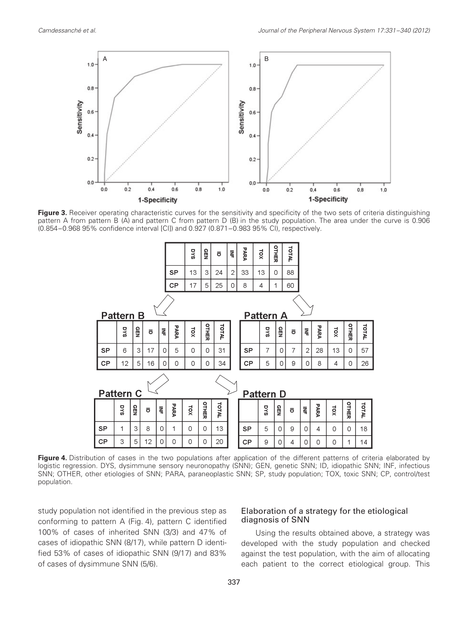

Figure 3. Receiver operating characteristic curves for the sensitivity and specificity of the two sets of criteria distinguishing pattern A from pattern B (A) and pattern C from pattern D (B) in the study population. The area under the curve is 0.906 (0.854–0.968 95% confidence interval [CI]) and 0.927 (0.871–0.983 95% CI), respectively.



Figure 4. Distribution of cases in the two populations after application of the different patterns of criteria elaborated by logistic regression. DYS, dysimmune sensory neuronopathy (SNN); GEN, genetic SNN; ID, idiopathic SNN; INF, infectious SNN; OTHER, other etiologies of SNN; PARA, paraneoplastic SNN; SP, study population; TOX, toxic SNN; CP, control/test population.

study population not identified in the previous step as conforming to pattern A (Fig. 4), pattern C identified 100% of cases of inherited SNN (3/3) and 47% of cases of idiopathic SNN (8/17), while pattern D identified 53% of cases of idiopathic SNN (9/17) and 83% of cases of dysimmune SNN (5/6).

### Elaboration of a strategy for the etiological diagnosis of SNN

Using the results obtained above, a strategy was developed with the study population and checked against the test population, with the aim of allocating each patient to the correct etiological group. This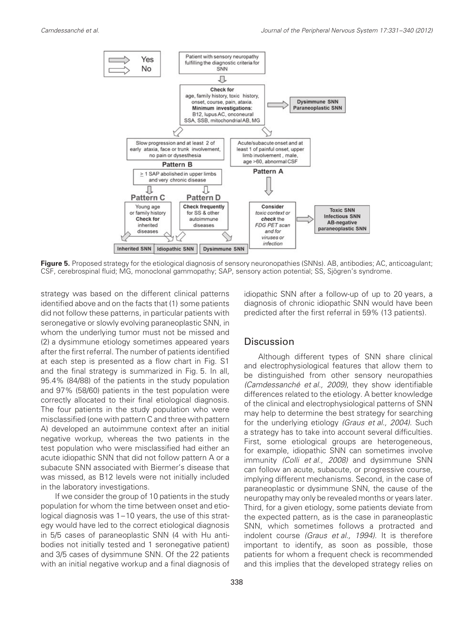

**Figure 5.** Proposed strategy for the etiological diagnosis of sensory neuronopathies (SNNs). AB, antibodies; AC, anticoagulant; CSF, cerebrospinal fluid; MG, monoclonal gammopathy; SAP, sensory action potential; SS, Sjögren's syndrome.

strategy was based on the different clinical patterns identified above and on the facts that (1) some patients did not follow these patterns, in particular patients with seronegative or slowly evolving paraneoplastic SNN, in whom the underlying tumor must not be missed and (2) a dysimmune etiology sometimes appeared years after the first referral. The number of patients identified at each step is presented as a flow chart in Fig. S1 and the final strategy is summarized in Fig. 5. In all, 95.4% (84/88) of the patients in the study population and 97% (58/60) patients in the test population were correctly allocated to their final etiological diagnosis. The four patients in the study population who were misclassified (one with pattern C and three with pattern A) developed an autoimmune context after an initial negative workup, whereas the two patients in the test population who were misclassified had either an acute idiopathic SNN that did not follow pattern A or a subacute SNN associated with Biermer's disease that was missed, as B12 levels were not initially included in the laboratory investigations.

If we consider the group of 10 patients in the study population for whom the time between onset and etiological diagnosis was 1–10 years, the use of this strategy would have led to the correct etiological diagnosis in 5/5 cases of paraneoplastic SNN (4 with Hu antibodies not initially tested and 1 seronegative patient) and 3/5 cases of dysimmune SNN. Of the 22 patients with an initial negative workup and a final diagnosis of

idiopathic SNN after a follow-up of up to 20 years, a diagnosis of chronic idiopathic SNN would have been predicted after the first referral in 59% (13 patients).

### **Discussion**

Although different types of SNN share clinical and electrophysiological features that allow them to be distinguished from other sensory neuropathies (Camdessanché et al., 2009), they show identifiable differences related to the etiology. A better knowledge of the clinical and electrophysiological patterns of SNN may help to determine the best strategy for searching for the underlying etiology (Graus et al., 2004). Such a strategy has to take into account several difficulties. First, some etiological groups are heterogeneous, for example, idiopathic SNN can sometimes involve immunity (Colli et al., 2008) and dysimmune SNN can follow an acute, subacute, or progressive course, implying different mechanisms. Second, in the case of paraneoplastic or dysimmune SNN, the cause of the neuropathy may only be revealed months or years later. Third, for a given etiology, some patients deviate from the expected pattern, as is the case in paraneoplastic SNN, which sometimes follows a protracted and indolent course (Graus et al., 1994). It is therefore important to identify, as soon as possible, those patients for whom a frequent check is recommended and this implies that the developed strategy relies on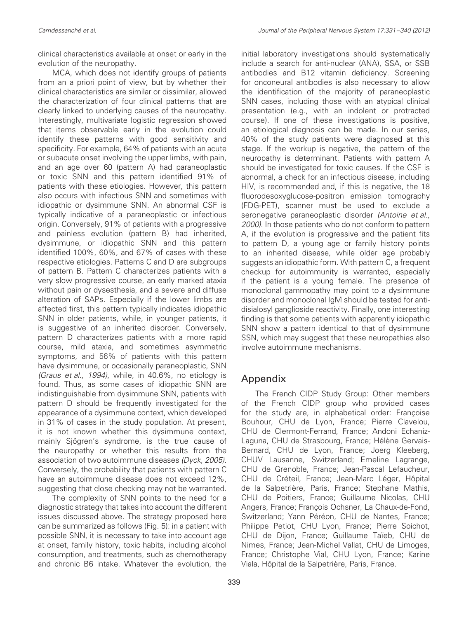clinical characteristics available at onset or early in the evolution of the neuropathy.

MCA, which does not identify groups of patients from an a priori point of view, but by whether their clinical characteristics are similar or dissimilar, allowed the characterization of four clinical patterns that are clearly linked to underlying causes of the neuropathy. Interestingly, multivariate logistic regression showed that items observable early in the evolution could identify these patterns with good sensitivity and specificity. For example, 64% of patients with an acute or subacute onset involving the upper limbs, with pain, and an age over 60 (pattern A) had paraneoplastic or toxic SNN and this pattern identified 91% of patients with these etiologies. However, this pattern also occurs with infectious SNN and sometimes with idiopathic or dysimmune SNN. An abnormal CSF is typically indicative of a paraneoplastic or infectious origin. Conversely, 91% of patients with a progressive and painless evolution (pattern B) had inherited, dysimmune, or idiopathic SNN and this pattern identified 100%, 60%, and 67% of cases with these respective etiologies. Patterns C and D are subgroups of pattern B. Pattern C characterizes patients with a very slow progressive course, an early marked ataxia without pain or dysesthesia, and a severe and diffuse alteration of SAPs. Especially if the lower limbs are affected first, this pattern typically indicates idiopathic SNN in older patients, while, in younger patients, it is suggestive of an inherited disorder. Conversely, pattern D characterizes patients with a more rapid course, mild ataxia, and sometimes asymmetric symptoms, and 56% of patients with this pattern have dysimmune, or occasionally paraneoplastic, SNN (Graus et al., 1994), while, in 40.6%, no etiology is found. Thus, as some cases of idiopathic SNN are indistinguishable from dysimmune SNN, patients with pattern D should be frequently investigated for the appearance of a dysimmune context, which developed in 31% of cases in the study population. At present, it is not known whether this dysimmune context, mainly Sjögren's syndrome, is the true cause of the neuropathy or whether this results from the association of two autoimmune diseases (Dyck, 2005). Conversely, the probability that patients with pattern C have an autoimmune disease does not exceed 12%, suggesting that close checking may not be warranted.

The complexity of SNN points to the need for a diagnostic strategy that takes into account the different issues discussed above. The strategy proposed here can be summarized as follows (Fig. 5): in a patient with possible SNN, it is necessary to take into account age at onset, family history, toxic habits, including alcohol consumption, and treatments, such as chemotherapy and chronic B6 intake. Whatever the evolution, the initial laboratory investigations should systematically include a search for anti-nuclear (ANA), SSA, or SSB antibodies and B12 vitamin deficiency. Screening for onconeural antibodies is also necessary to allow the identification of the majority of paraneoplastic SNN cases, including those with an atypical clinical presentation (e.g., with an indolent or protracted course). If one of these investigations is positive, an etiological diagnosis can be made. In our series, 40% of the study patients were diagnosed at this stage. If the workup is negative, the pattern of the neuropathy is determinant. Patients with pattern A should be investigated for toxic causes. If the CSF is abnormal, a check for an infectious disease, including HIV, is recommended and, if this is negative, the 18 fluorodesoxyglucose-positron emission tomography (FDG-PET), scanner must be used to exclude a seronegative paraneoplastic disorder (Antoine et al., 2000). In those patients who do not conform to pattern A, if the evolution is progressive and the patient fits to pattern D, a young age or family history points to an inherited disease, while older age probably suggests an idiopathic form. With pattern C, a frequent checkup for autoimmunity is warranted, especially if the patient is a young female. The presence of monoclonal gammopathy may point to a dysimmune disorder and monoclonal IgM should be tested for antidisialosyl ganglioside reactivity. Finally, one interesting finding is that some patients with apparently idiopathic SNN show a pattern identical to that of dysimmune SSN, which may suggest that these neuropathies also involve autoimmune mechanisms.

## Appendix

The French CIDP Study Group: Other members of the French CIDP group who provided cases for the study are, in alphabetical order: Françoise Bouhour, CHU de Lyon, France; Pierre Clavelou, CHU de Clermont-Ferrand, France; Andoni Echaniz-Laguna, CHU de Strasbourg, France; Hélène Gervais-Bernard, CHU de Lyon, France; Joerg Kleeberg, CHUV Lausanne, Switzerland; Emeline Lagrange, CHU de Grenoble, France; Jean-Pascal Lefaucheur, CHU de Créteil, France; Jean-Marc Léger, Hôpital de la Salpetrière, Paris, France; Stephane Mathis, CHU de Poitiers, France; Guillaume Nicolas, CHU Angers, France; François Ochsner, La Chaux-de-Fond, Switzerland; Yann Péréon, CHU de Nantes, France; Philippe Petiot, CHU Lyon, France; Pierre Soichot, CHU de Dijon, France; Guillaume Taïeb, CHU de Nimes, France; Jean-Michel Vallat, CHU de Limoges, France; Christophe Vial, CHU Lyon, France; Karine Viala, Hôpital de la Salpetrière, Paris, France.